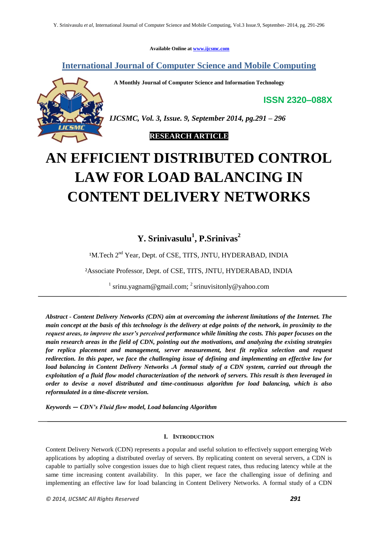**Available Online at www.ijcsmc.com**

**International Journal of Computer Science and Mobile Computing**

 **A Monthly Journal of Computer Science and Information Technology**

**ISSN 2320–088X**



*IJCSMC, Vol. 3, Issue. 9, September 2014, pg.291 – 296*

 **RESEARCH ARTICLE**

# **AN EFFICIENT DISTRIBUTED CONTROL LAW FOR LOAD BALANCING IN CONTENT DELIVERY NETWORKS**

**Y. Srinivasulu<sup>1</sup> , P.Srinivas<sup>2</sup>**

<sup>1</sup>M.Tech 2<sup>nd</sup> Year, Dept. of CSE, TITS, JNTU, HYDERABAD, INDIA

²Associate Professor, Dept. of CSE, TITS, JNTU, HYDERABAD, INDIA

<sup>1</sup> srinu.yagnam@gmail.com; <sup>2</sup> srinuvisitonly@yahoo.com

*Abstract - Content Delivery Networks (CDN) aim at overcoming the inherent limitations of the Internet. The main concept at the basis of this technology is the delivery at edge points of the network, in proximity to the request areas, to improve the user's perceived performance while limiting the costs. This paper focuses on the main research areas in the field of CDN, pointing out the motivations, and analyzing the existing strategies for replica placement and management, server measurement, best fit replica selection and request redirection. In this paper, we face the challenging issue of defining and implementing an effective law for load balancing in Content Delivery Networks .A formal study of a CDN system, carried out through the exploitation of a fluid flow model characterization of the network of servers. This result is then leveraged in order to devise a novel distributed and time-continuous algorithm for load balancing, which is also reformulated in a time-discrete version.*

*Keywords — CDN's Fluid flow model, Load balancing Algorithm*

#### **I. INTRODUCTION**

Content Delivery Network (CDN) represents a popular and useful solution to effectively support emerging Web applications by adopting a distributed overlay of servers. By replicating content on several servers, a CDN is capable to partially solve congestion issues due to high client request rates, thus reducing latency while at the same time increasing content availability. In this paper, we face the challenging issue of defining and implementing an effective law for load balancing in Content Delivery Networks. A formal study of a CDN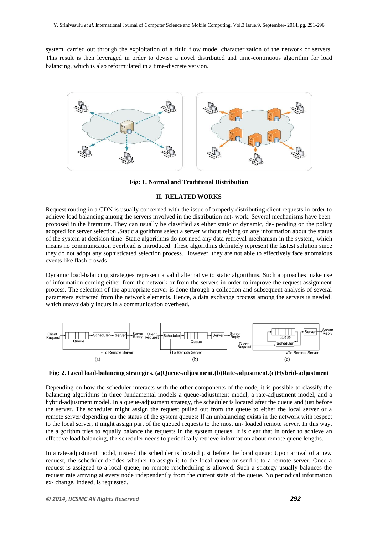system, carried out through the exploitation of a fluid flow model characterization of the network of servers. This result is then leveraged in order to devise a novel distributed and time-continuous algorithm for load balancing, which is also reformulated in a time-discrete version.



**Fig: 1. Normal and Traditional Distribution**

# **II. RELATED WORKS**

Request routing in a CDN is usually concerned with the issue of properly distributing client requests in order to achieve load balancing among the servers involved in the distribution net- work. Several mechanisms have been proposed in the literature. They can usually be classified as either static or dynamic, de- pending on the policy adopted for server selection .Static algorithms select a server without relying on any information about the status of the system at decision time. Static algorithms do not need any data retrieval mechanism in the system, which means no communication overhead is introduced. These algorithms definitely represent the fastest solution since they do not adopt any sophisticated selection process. However, they are not able to effectively face anomalous events like flash crowds

Dynamic load-balancing strategies represent a valid alternative to static algorithms. Such approaches make use of information coming either from the network or from the servers in order to improve the request assignment process. The selection of the appropriate server is done through a collection and subsequent analysis of several parameters extracted from the network elements. Hence, a data exchange process among the servers is needed, which unavoidably incurs in a communication overhead.



**Fig: 2. Local load-balancing strategies. (a)Queue-adjustment.(b)Rate-adjustment.(c)Hybrid-adjustment**

Depending on how the scheduler interacts with the other components of the node, it is possible to classify the balancing algorithms in three fundamental models a queue-adjustment model, a rate-adjustment model, and a hybrid-adjustment model. In a queue-adjustment strategy, the scheduler is located after the queue and just before the server. The scheduler might assign the request pulled out from the queue to either the local server or a remote server depending on the status of the system queues: If an unbalancing exists in the network with respect to the local server, it might assign part of the queued requests to the most un- loaded remote server. In this way, the algorithm tries to equally balance the requests in the system queues. It is clear that in order to achieve an effective load balancing, the scheduler needs to periodically retrieve information about remote queue lengths.

In a rate-adjustment model, instead the scheduler is located just before the local queue: Upon arrival of a new request, the scheduler decides whether to assign it to the local queue or send it to a remote server. Once a request is assigned to a local queue, no remote rescheduling is allowed. Such a strategy usually balances the request rate arriving at every node independently from the current state of the queue. No periodical information ex- change, indeed, is requested.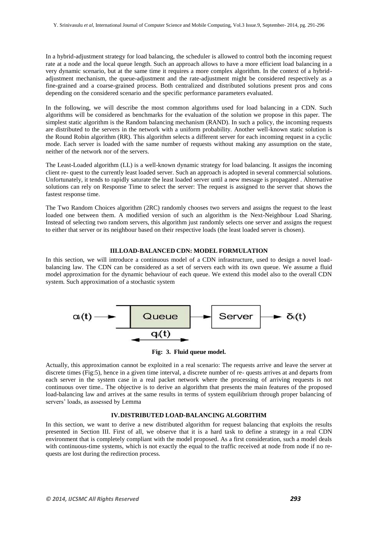In a hybrid-adjustment strategy for load balancing, the scheduler is allowed to control both the incoming request rate at a node and the local queue length. Such an approach allows to have a more efficient load balancing in a very dynamic scenario, but at the same time it requires a more complex algorithm. In the context of a hybridadjustment mechanism, the queue-adjustment and the rate-adjustment might be considered respectively as a fine-grained and a coarse-grained process. Both centralized and distributed solutions present pros and cons depending on the considered scenario and the specific performance parameters evaluated.

In the following, we will describe the most common algorithms used for load balancing in a CDN. Such algorithms will be considered as benchmarks for the evaluation of the solution we propose in this paper. The simplest static algorithm is the Random balancing mechanism (RAND). In such a policy, the incoming requests are distributed to the servers in the network with a uniform probability. Another well-known static solution is the Round Robin algorithm (RR). This algorithm selects a different server for each incoming request in a cyclic mode. Each server is loaded with the same number of requests without making any assumption on the state, neither of the network nor of the servers.

The Least-Loaded algorithm (LL) is a well-known dynamic strategy for load balancing. It assigns the incoming client re- quest to the currently least loaded server. Such an approach is adopted in several commercial solutions. Unfortunately, it tends to rapidly saturate the least loaded server until a new message is propagated . Alternative solutions can rely on Response Time to select the server: The request is assigned to the server that shows the fastest response time.

The Two Random Choices algorithm (2RC) randomly chooses two servers and assigns the request to the least loaded one between them. A modified version of such an algorithm is the Next-Neighbour Load Sharing. Instead of selecting two random servers, this algorithm just randomly selects one server and assigns the request to either that server or its neighbour based on their respective loads (the least loaded server is chosen).

#### **III.LOAD-BALANCED CDN: MODEL FORMULATION**

In this section, we will introduce a continuous model of a CDN infrastructure, used to design a novel loadbalancing law. The CDN can be considered as a set of servers each with its own queue. We assume a fluid model approximation for the dynamic behaviour of each queue. We extend this model also to the overall CDN system. Such approximation of a stochastic system





Actually, this approximation cannot be exploited in a real scenario: The requests arrive and leave the server at discrete times (Fig:5), hence in a given time interval, a discrete number of re- quests arrives at and departs from each server in the system case in a real packet network where the processing of arriving requests is not continuous over time.. The objective is to derive an algorithm that presents the main features of the proposed load-balancing law and arrives at the same results in terms of system equilibrium through proper balancing of servers' loads, as assessed by Lemma

## **IV.DISTRIBUTED LOAD-BALANCING ALGORITHM**

In this section, we want to derive a new distributed algorithm for request balancing that exploits the results presented in Section III. First of all, we observe that it is a hard task to define a strategy in a real CDN environment that is completely compliant with the model proposed. As a first consideration, such a model deals with continuous-time systems, which is not exactly the equal to the traffic received at node from node if no requests are lost during the redirection process.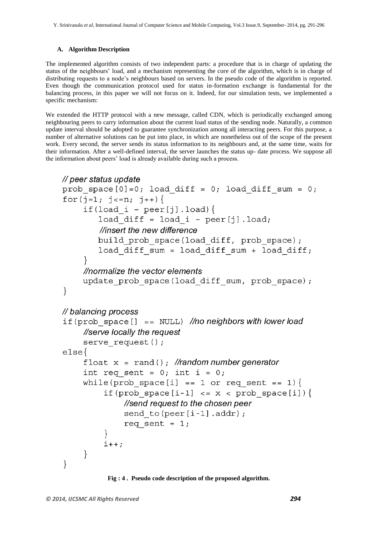# **A. Algorithm Description**

The implemented algorithm consists of two independent parts: a procedure that is in charge of updating the status of the neighbours' load, and a mechanism representing the core of the algorithm, which is in charge of distributing requests to a node's neighbours based on servers. In the pseudo code of the algorithm is reported. Even though the communication protocol used for status in-formation exchange is fundamental for the balancing process, in this paper we will not focus on it. Indeed, for our simulation tests, we implemented a specific mechanism:

We extended the HTTP protocol with a new message, called CDN, which is periodically exchanged among neighbouring peers to carry information about the current load status of the sending node. Naturally, a common update interval should be adopted to guarantee synchronization among all interacting peers. For this purpose, a number of alternative solutions can be put into place, in which are nonetheless out of the scope of the present work. Every second, the server sends its status information to its neighbours and, at the same time, waits for their information. After a well-defined interval, the server launches the status up- date process. We suppose all the information about peers' load is already available during such a process.

```
// peer status update
prob space [0] = 0; load diff = 0; load diff sum = 0;
for (j=1; j<=n; j++)if(load i - peer[j].load) {
        load diff = load i - peer[j].load;
        //insert the new difference
       build prob space(load diff, prob space);
        load diff sum = load diff sum + load diff;
    \}//normalize the vector elements
    update prob space (load diff sum, prob space);
\{// balancing process
if (prob space [] == NULL) //no neighbors with lower load
    //serve locally the request
    serve request();
else{float x = \text{rand}(); //random number generator
    int req sent = 0; int i = 0;while(prob_space[i] == 1 or req_sent == 1) {
         if (prob space [i-1] <= x < prob space [i]) {
             //send request to the chosen peer
             send to (peer [i-1] .addr);
             req sent = 1;i++\}\{
```
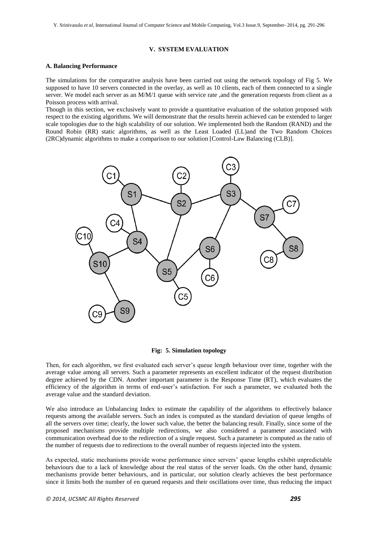#### **V. SYSTEM EVALUATION**

#### **A. Balancing Performance**

The simulations for the comparative analysis have been carried out using the network topology of Fig 5. We supposed to have 10 servers connected in the overlay, as well as 10 clients, each of them connected to a single server. We model each server as an M/M/1 queue with service rate ,and the generation requests from client as a Poisson process with arrival.

Though in this section, we exclusively want to provide a quantitative evaluation of the solution proposed with respect to the existing algorithms. We will demonstrate that the results herein achieved can be extended to larger scale topologies due to the high scalability of our solution. We implemented both the Random (RAND) and the Round Robin (RR) static algorithms, as well as the Least Loaded (LL)and the Two Random Choices (2RC)dynamic algorithms to make a comparison to our solution [Control-Law Balancing (CLB)].



#### **Fig: 5. Simulation topology**

Then, for each algorithm, we first evaluated each server's queue length behaviour over time, together with the average value among all servers. Such a parameter represents an excellent indicator of the request distribution degree achieved by the CDN. Another important parameter is the Response Time (RT), which evaluates the efficiency of the algorithm in terms of end-user's satisfaction. For such a parameter, we evaluated both the average value and the standard deviation.

We also introduce an Unbalancing Index to estimate the capability of the algorithms to effectively balance requests among the available servers. Such an index is computed as the standard deviation of queue lengths of all the servers over time; clearly, the lower such value, the better the balancing result. Finally, since some of the proposed mechanisms provide multiple redirections, we also considered a parameter associated with communication overhead due to the redirection of a single request. Such a parameter is computed as the ratio of the number of requests due to redirections to the overall number of requests injected into the system.

As expected, static mechanisms provide worse performance since servers' queue lengths exhibit unpredictable behaviours due to a lack of knowledge about the real status of the server loads. On the other hand, dynamic mechanisms provide better behaviours, and in particular, our solution clearly achieves the best performance since it limits both the number of en queued requests and their oscillations over time, thus reducing the impact